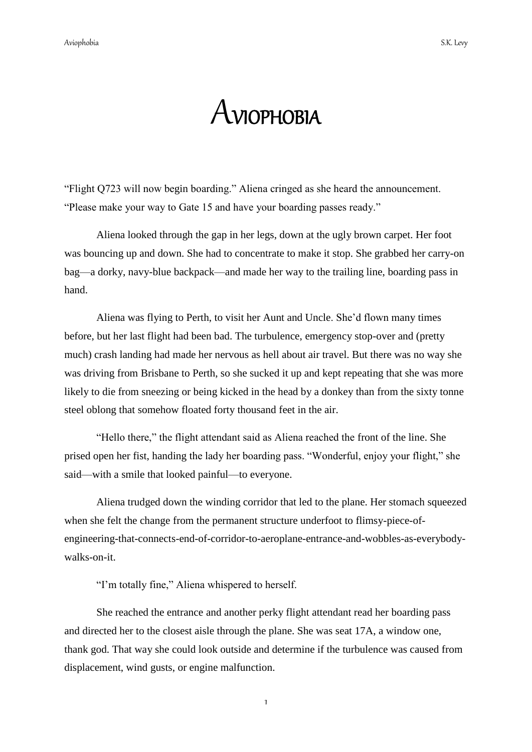## AVIOPHOBIA

"Flight Q723 will now begin boarding." Aliena cringed as she heard the announcement. "Please make your way to Gate 15 and have your boarding passes ready."

Aliena looked through the gap in her legs, down at the ugly brown carpet. Her foot was bouncing up and down. She had to concentrate to make it stop. She grabbed her carry-on bag—a dorky, navy-blue backpack—and made her way to the trailing line, boarding pass in hand.

Aliena was flying to Perth, to visit her Aunt and Uncle. She"d flown many times before, but her last flight had been bad. The turbulence, emergency stop-over and (pretty much) crash landing had made her nervous as hell about air travel. But there was no way she was driving from Brisbane to Perth, so she sucked it up and kept repeating that she was more likely to die from sneezing or being kicked in the head by a donkey than from the sixty tonne steel oblong that somehow floated forty thousand feet in the air.

"Hello there," the flight attendant said as Aliena reached the front of the line. She prised open her fist, handing the lady her boarding pass. "Wonderful, enjoy your flight," she said—with a smile that looked painful—to everyone.

Aliena trudged down the winding corridor that led to the plane. Her stomach squeezed when she felt the change from the permanent structure underfoot to flimsy-piece-ofengineering-that-connects-end-of-corridor-to-aeroplane-entrance-and-wobbles-as-everybodywalks-on-it.

"I'm totally fine," Aliena whispered to herself.

She reached the entrance and another perky flight attendant read her boarding pass and directed her to the closest aisle through the plane. She was seat 17A, a window one, thank god. That way she could look outside and determine if the turbulence was caused from displacement, wind gusts, or engine malfunction.

1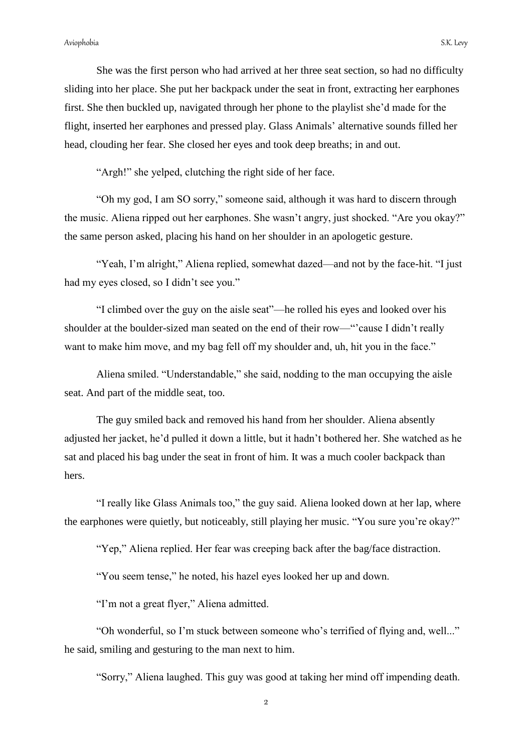She was the first person who had arrived at her three seat section, so had no difficulty sliding into her place. She put her backpack under the seat in front, extracting her earphones first. She then buckled up, navigated through her phone to the playlist she"d made for the flight, inserted her earphones and pressed play. Glass Animals' alternative sounds filled her head, clouding her fear. She closed her eyes and took deep breaths; in and out.

"Argh!" she yelped, clutching the right side of her face.

"Oh my god, I am SO sorry," someone said, although it was hard to discern through the music. Aliena ripped out her earphones. She wasn"t angry, just shocked. "Are you okay?" the same person asked, placing his hand on her shoulder in an apologetic gesture.

"Yeah, I"m alright," Aliena replied, somewhat dazed—and not by the face-hit. "I just had my eyes closed, so I didn't see you."

"I climbed over the guy on the aisle seat"—he rolled his eyes and looked over his shoulder at the boulder-sized man seated on the end of their row—""cause I didn"t really want to make him move, and my bag fell off my shoulder and, uh, hit you in the face."

Aliena smiled. "Understandable," she said, nodding to the man occupying the aisle seat. And part of the middle seat, too.

The guy smiled back and removed his hand from her shoulder. Aliena absently adjusted her jacket, he"d pulled it down a little, but it hadn"t bothered her. She watched as he sat and placed his bag under the seat in front of him. It was a much cooler backpack than hers.

"I really like Glass Animals too," the guy said. Aliena looked down at her lap, where the earphones were quietly, but noticeably, still playing her music. "You sure you"re okay?"

"Yep," Aliena replied. Her fear was creeping back after the bag/face distraction.

"You seem tense," he noted, his hazel eyes looked her up and down.

"I"m not a great flyer," Aliena admitted.

"Oh wonderful, so I"m stuck between someone who"s terrified of flying and, well..." he said, smiling and gesturing to the man next to him.

"Sorry," Aliena laughed. This guy was good at taking her mind off impending death.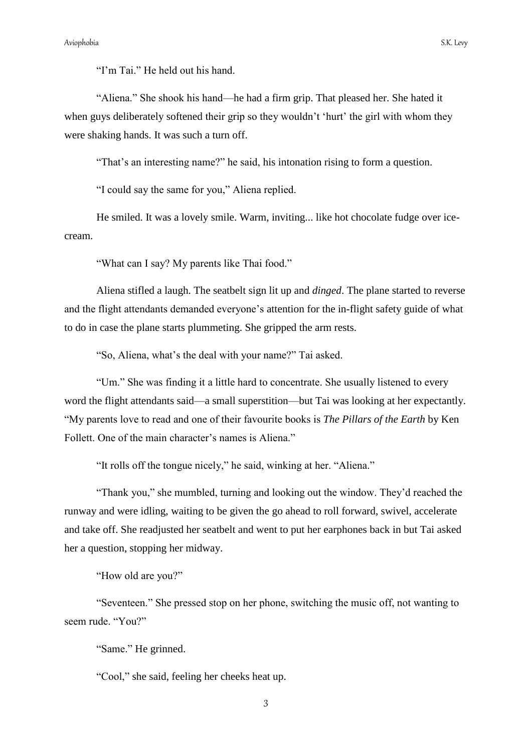"I'm Tai." He held out his hand.

"Aliena." She shook his hand—he had a firm grip. That pleased her. She hated it when guys deliberately softened their grip so they wouldn't 'hurt' the girl with whom they were shaking hands. It was such a turn off.

"That's an interesting name?" he said, his intonation rising to form a question.

"I could say the same for you," Aliena replied.

He smiled. It was a lovely smile. Warm, inviting... like hot chocolate fudge over icecream.

"What can I say? My parents like Thai food."

Aliena stifled a laugh. The seatbelt sign lit up and *dinged*. The plane started to reverse and the flight attendants demanded everyone's attention for the in-flight safety guide of what to do in case the plane starts plummeting. She gripped the arm rests.

"So, Aliena, what"s the deal with your name?" Tai asked.

"Um." She was finding it a little hard to concentrate. She usually listened to every word the flight attendants said—a small superstition—but Tai was looking at her expectantly. "My parents love to read and one of their favourite books is *The Pillars of the Earth* by Ken Follett. One of the main character's names is Aliena."

"It rolls off the tongue nicely," he said, winking at her. "Aliena."

"Thank you," she mumbled, turning and looking out the window. They"d reached the runway and were idling, waiting to be given the go ahead to roll forward, swivel, accelerate and take off. She readjusted her seatbelt and went to put her earphones back in but Tai asked her a question, stopping her midway.

"How old are you?"

"Seventeen." She pressed stop on her phone, switching the music off, not wanting to seem rude. "You?"

"Same." He grinned.

"Cool," she said, feeling her cheeks heat up.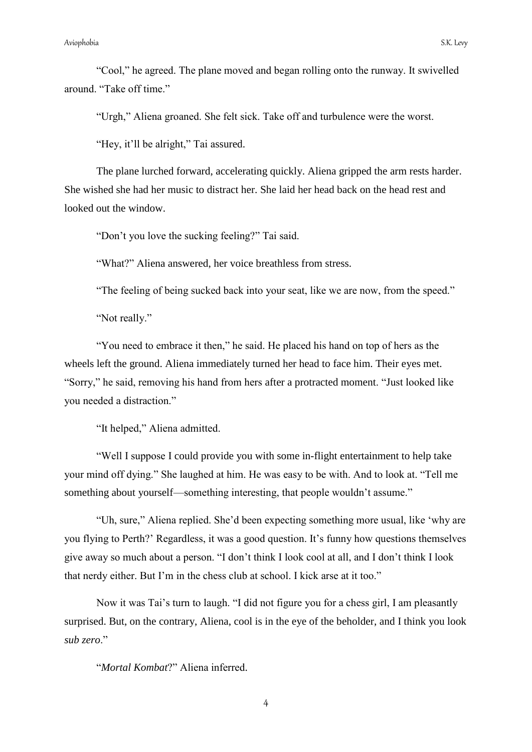"Cool," he agreed. The plane moved and began rolling onto the runway. It swivelled around. "Take off time"

"Urgh," Aliena groaned. She felt sick. Take off and turbulence were the worst.

"Hey, it'll be alright," Tai assured.

The plane lurched forward, accelerating quickly. Aliena gripped the arm rests harder. She wished she had her music to distract her. She laid her head back on the head rest and looked out the window.

"Don"t you love the sucking feeling?" Tai said.

"What?" Aliena answered, her voice breathless from stress.

"The feeling of being sucked back into your seat, like we are now, from the speed."

"Not really."

"You need to embrace it then," he said. He placed his hand on top of hers as the wheels left the ground. Aliena immediately turned her head to face him. Their eyes met. "Sorry," he said, removing his hand from hers after a protracted moment. "Just looked like you needed a distraction."

"It helped," Aliena admitted.

"Well I suppose I could provide you with some in-flight entertainment to help take your mind off dying." She laughed at him. He was easy to be with. And to look at. "Tell me something about yourself—something interesting, that people wouldn"t assume."

"Uh, sure," Aliena replied. She"d been expecting something more usual, like "why are you flying to Perth?" Regardless, it was a good question. It"s funny how questions themselves give away so much about a person. "I don"t think I look cool at all, and I don"t think I look that nerdy either. But I"m in the chess club at school. I kick arse at it too."

Now it was Tai"s turn to laugh. "I did not figure you for a chess girl, I am pleasantly surprised. But, on the contrary, Aliena, cool is in the eye of the beholder, and I think you look *sub zero*."

"*Mortal Kombat*?" Aliena inferred.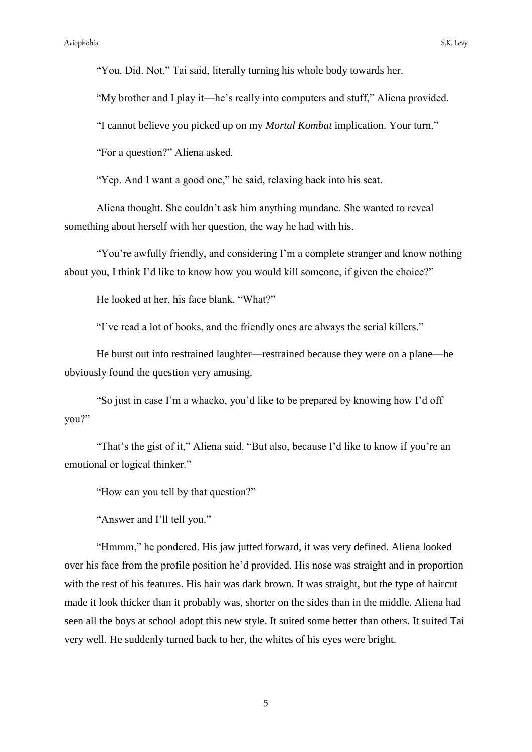"You. Did. Not," Tai said, literally turning his whole body towards her.

"My brother and I play it—he"s really into computers and stuff," Aliena provided.

"I cannot believe you picked up on my *Mortal Kombat* implication. Your turn."

"For a question?" Aliena asked.

"Yep. And I want a good one," he said, relaxing back into his seat.

Aliena thought. She couldn"t ask him anything mundane. She wanted to reveal something about herself with her question, the way he had with his.

"You're awfully friendly, and considering I'm a complete stranger and know nothing about you, I think I"d like to know how you would kill someone, if given the choice?"

He looked at her, his face blank. "What?"

"I"ve read a lot of books, and the friendly ones are always the serial killers."

He burst out into restrained laughter—restrained because they were on a plane—he obviously found the question very amusing.

"So just in case I"m a whacko, you"d like to be prepared by knowing how I"d off you?"

"That's the gist of it," Aliena said. "But also, because I'd like to know if you're an emotional or logical thinker."

"How can you tell by that question?"

"Answer and I"ll tell you."

"Hmmm," he pondered. His jaw jutted forward, it was very defined. Aliena looked over his face from the profile position he"d provided. His nose was straight and in proportion with the rest of his features. His hair was dark brown. It was straight, but the type of haircut made it look thicker than it probably was, shorter on the sides than in the middle. Aliena had seen all the boys at school adopt this new style. It suited some better than others. It suited Tai very well. He suddenly turned back to her, the whites of his eyes were bright.

5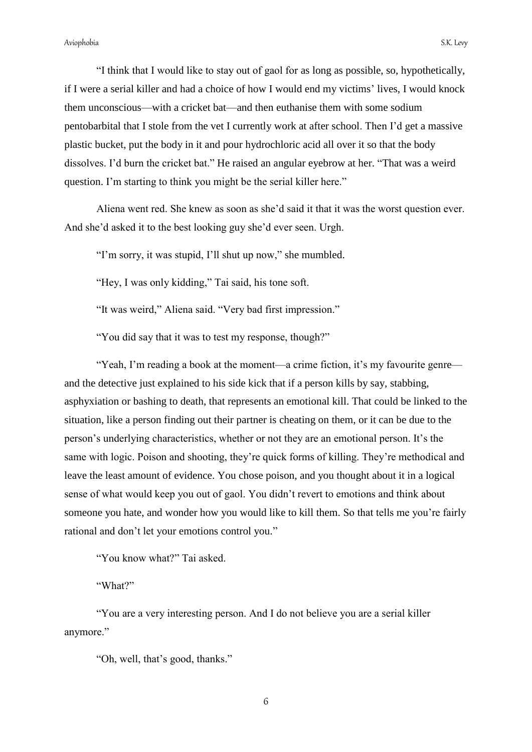"I think that I would like to stay out of gaol for as long as possible, so, hypothetically, if I were a serial killer and had a choice of how I would end my victims' lives, I would knock them unconscious—with a cricket bat—and then euthanise them with some sodium pentobarbital that I stole from the vet I currently work at after school. Then I"d get a massive plastic bucket, put the body in it and pour hydrochloric acid all over it so that the body dissolves. I'd burn the cricket bat." He raised an angular eyebrow at her. "That was a weird question. I'm starting to think you might be the serial killer here."

Aliena went red. She knew as soon as she"d said it that it was the worst question ever. And she'd asked it to the best looking guy she'd ever seen. Urgh.

"I'm sorry, it was stupid, I'll shut up now," she mumbled.

"Hey, I was only kidding," Tai said, his tone soft.

"It was weird," Aliena said. "Very bad first impression."

"You did say that it was to test my response, though?"

"Yeah, I'm reading a book at the moment—a crime fiction, it's my favourite genre and the detective just explained to his side kick that if a person kills by say, stabbing, asphyxiation or bashing to death, that represents an emotional kill. That could be linked to the situation, like a person finding out their partner is cheating on them, or it can be due to the person"s underlying characteristics, whether or not they are an emotional person. It"s the same with logic. Poison and shooting, they"re quick forms of killing. They"re methodical and leave the least amount of evidence. You chose poison, and you thought about it in a logical sense of what would keep you out of gaol. You didn"t revert to emotions and think about someone you hate, and wonder how you would like to kill them. So that tells me you"re fairly rational and don"t let your emotions control you."

"You know what?" Tai asked.

"What?"

"You are a very interesting person. And I do not believe you are a serial killer anymore."

"Oh, well, that"s good, thanks."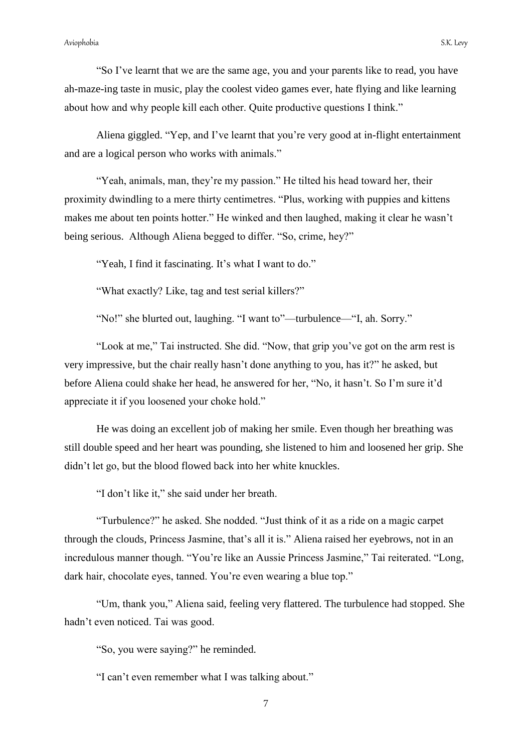"So I"ve learnt that we are the same age, you and your parents like to read, you have ah-maze-ing taste in music, play the coolest video games ever, hate flying and like learning about how and why people kill each other. Quite productive questions I think."

Aliena giggled. "Yep, and I"ve learnt that you"re very good at in-flight entertainment and are a logical person who works with animals."

"Yeah, animals, man, they"re my passion." He tilted his head toward her, their proximity dwindling to a mere thirty centimetres. "Plus, working with puppies and kittens makes me about ten points hotter." He winked and then laughed, making it clear he wasn"t being serious. Although Aliena begged to differ. "So, crime, hey?"

"Yeah, I find it fascinating. It's what I want to do."

"What exactly? Like, tag and test serial killers?"

"No!" she blurted out, laughing. "I want to"—turbulence—"I, ah. Sorry."

"Look at me," Tai instructed. She did. "Now, that grip you"ve got on the arm rest is very impressive, but the chair really hasn"t done anything to you, has it?" he asked, but before Aliena could shake her head, he answered for her, "No, it hasn"t. So I"m sure it"d appreciate it if you loosened your choke hold."

He was doing an excellent job of making her smile. Even though her breathing was still double speed and her heart was pounding, she listened to him and loosened her grip. She didn"t let go, but the blood flowed back into her white knuckles.

"I don"t like it," she said under her breath.

"Turbulence?" he asked. She nodded. "Just think of it as a ride on a magic carpet through the clouds, Princess Jasmine, that"s all it is." Aliena raised her eyebrows, not in an incredulous manner though. "You"re like an Aussie Princess Jasmine," Tai reiterated. "Long, dark hair, chocolate eyes, tanned. You're even wearing a blue top."

"Um, thank you," Aliena said, feeling very flattered. The turbulence had stopped. She hadn"t even noticed. Tai was good.

"So, you were saying?" he reminded.

"I can"t even remember what I was talking about."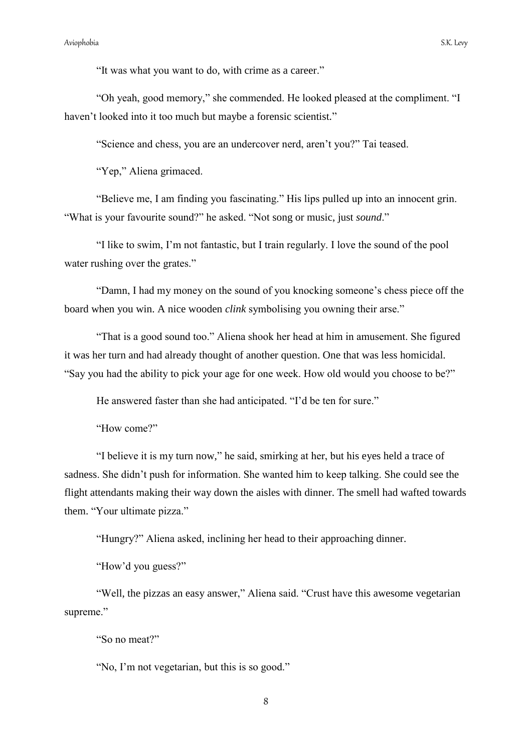"It was what you want to do, with crime as a career."

"Oh yeah, good memory," she commended. He looked pleased at the compliment. "I haven't looked into it too much but maybe a forensic scientist."

"Science and chess, you are an undercover nerd, aren"t you?" Tai teased.

"Yep," Aliena grimaced.

"Believe me, I am finding you fascinating." His lips pulled up into an innocent grin. "What is your favourite sound?" he asked. "Not song or music, just *sound*."

"I like to swim, I"m not fantastic, but I train regularly. I love the sound of the pool water rushing over the grates."

"Damn, I had my money on the sound of you knocking someone"s chess piece off the board when you win. A nice wooden *clink* symbolising you owning their arse."

"That is a good sound too." Aliena shook her head at him in amusement. She figured it was her turn and had already thought of another question. One that was less homicidal. "Say you had the ability to pick your age for one week. How old would you choose to be?"

He answered faster than she had anticipated. "I"d be ten for sure."

"How come?"

"I believe it is my turn now," he said, smirking at her, but his eyes held a trace of sadness. She didn"t push for information. She wanted him to keep talking. She could see the flight attendants making their way down the aisles with dinner. The smell had wafted towards them. "Your ultimate pizza."

"Hungry?" Aliena asked, inclining her head to their approaching dinner.

"How'd you guess?"

"Well, the pizzas an easy answer," Aliena said. "Crust have this awesome vegetarian supreme."

"So no meat?"

"No, I'm not vegetarian, but this is so good."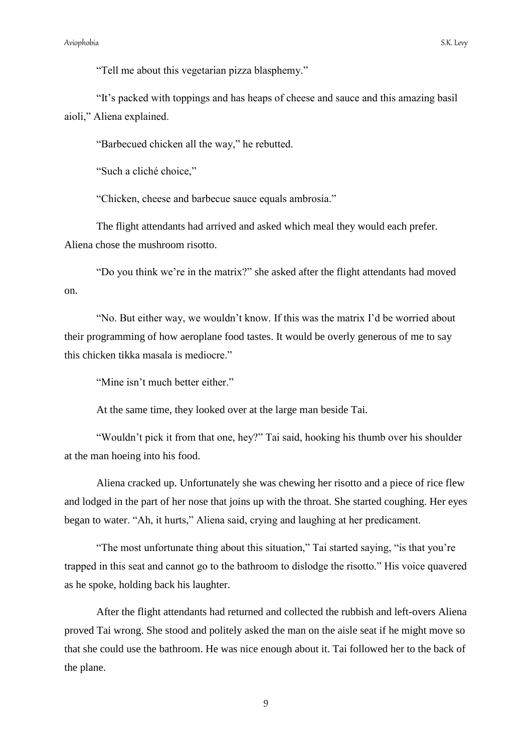"Tell me about this vegetarian pizza blasphemy."

"It"s packed with toppings and has heaps of cheese and sauce and this amazing basil aioli," Aliena explained.

"Barbecued chicken all the way," he rebutted.

"Such a cliché choice,"

"Chicken, cheese and barbecue sauce equals ambrosia."

The flight attendants had arrived and asked which meal they would each prefer. Aliena chose the mushroom risotto.

"Do you think we"re in the matrix?" she asked after the flight attendants had moved on.

"No. But either way, we wouldn"t know. If this was the matrix I"d be worried about their programming of how aeroplane food tastes. It would be overly generous of me to say this chicken tikka masala is mediocre."

"Mine isn't much better either."

At the same time, they looked over at the large man beside Tai.

"Wouldn"t pick it from that one, hey?" Tai said, hooking his thumb over his shoulder at the man hoeing into his food.

Aliena cracked up. Unfortunately she was chewing her risotto and a piece of rice flew and lodged in the part of her nose that joins up with the throat. She started coughing. Her eyes began to water. "Ah, it hurts," Aliena said, crying and laughing at her predicament.

"The most unfortunate thing about this situation," Tai started saying, "is that you"re trapped in this seat and cannot go to the bathroom to dislodge the risotto." His voice quavered as he spoke, holding back his laughter.

After the flight attendants had returned and collected the rubbish and left-overs Aliena proved Tai wrong. She stood and politely asked the man on the aisle seat if he might move so that she could use the bathroom. He was nice enough about it. Tai followed her to the back of the plane.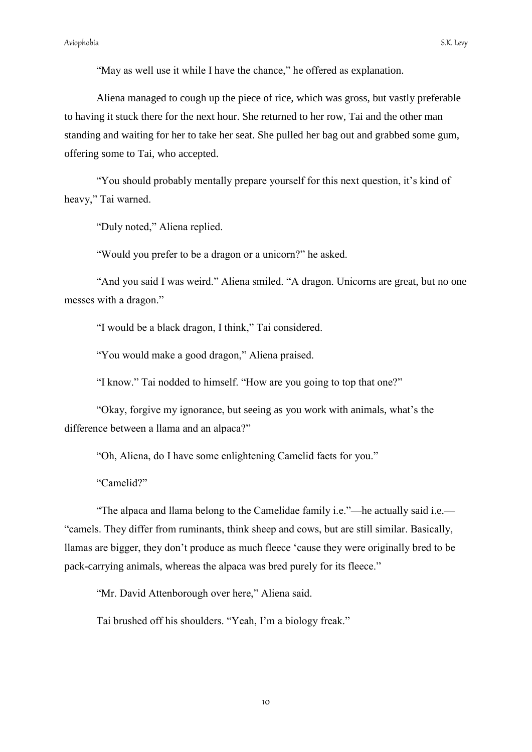Aliena managed to cough up the piece of rice, which was gross, but vastly preferable to having it stuck there for the next hour. She returned to her row, Tai and the other man standing and waiting for her to take her seat. She pulled her bag out and grabbed some gum, offering some to Tai, who accepted.

"You should probably mentally prepare yourself for this next question, it's kind of heavy," Tai warned.

"Duly noted," Aliena replied.

"Would you prefer to be a dragon or a unicorn?" he asked.

"And you said I was weird." Aliena smiled. "A dragon. Unicorns are great, but no one messes with a dragon."

"I would be a black dragon, I think," Tai considered.

"You would make a good dragon," Aliena praised.

"I know." Tai nodded to himself. "How are you going to top that one?"

"Okay, forgive my ignorance, but seeing as you work with animals, what"s the difference between a llama and an alpaca?"

"Oh, Aliena, do I have some enlightening Camelid facts for you."

"Camelid?"

"The alpaca and llama belong to the Camelidae family i.e."—he actually said i.e.— "camels. They differ from ruminants, think sheep and cows, but are still similar. Basically, llamas are bigger, they don"t produce as much fleece "cause they were originally bred to be pack-carrying animals, whereas the alpaca was bred purely for its fleece."

"Mr. David Attenborough over here," Aliena said.

Tai brushed off his shoulders. "Yeah, I"m a biology freak."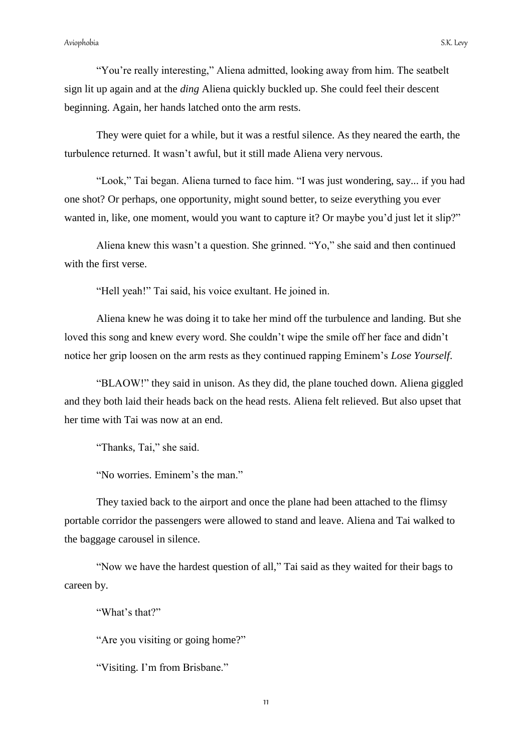"You"re really interesting," Aliena admitted, looking away from him. The seatbelt sign lit up again and at the *ding* Aliena quickly buckled up. She could feel their descent beginning. Again, her hands latched onto the arm rests.

They were quiet for a while, but it was a restful silence. As they neared the earth, the turbulence returned. It wasn"t awful, but it still made Aliena very nervous.

"Look," Tai began. Aliena turned to face him. "I was just wondering, say... if you had one shot? Or perhaps, one opportunity, might sound better, to seize everything you ever wanted in, like, one moment, would you want to capture it? Or maybe you'd just let it slip?"

Aliena knew this wasn"t a question. She grinned. "Yo," she said and then continued with the first verse.

"Hell yeah!" Tai said, his voice exultant. He joined in.

Aliena knew he was doing it to take her mind off the turbulence and landing. But she loved this song and knew every word. She couldn't wipe the smile off her face and didn't notice her grip loosen on the arm rests as they continued rapping Eminem"s *Lose Yourself*.

"BLAOW!" they said in unison. As they did, the plane touched down. Aliena giggled and they both laid their heads back on the head rests. Aliena felt relieved. But also upset that her time with Tai was now at an end.

"Thanks, Tai," she said.

"No worries. Eminem"s the man."

They taxied back to the airport and once the plane had been attached to the flimsy portable corridor the passengers were allowed to stand and leave. Aliena and Tai walked to the baggage carousel in silence.

"Now we have the hardest question of all," Tai said as they waited for their bags to careen by.

"What's that?"

"Are you visiting or going home?"

"Visiting. I'm from Brisbane."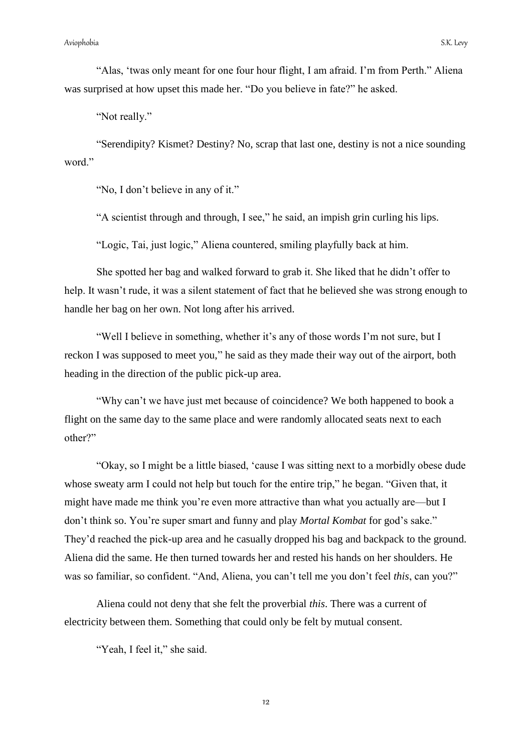"Alas, "twas only meant for one four hour flight, I am afraid. I"m from Perth." Aliena was surprised at how upset this made her. "Do you believe in fate?" he asked.

"Not really."

"Serendipity? Kismet? Destiny? No, scrap that last one, destiny is not a nice sounding word."

"No, I don"t believe in any of it."

"A scientist through and through, I see," he said, an impish grin curling his lips.

"Logic, Tai, just logic," Aliena countered, smiling playfully back at him.

She spotted her bag and walked forward to grab it. She liked that he didn"t offer to help. It wasn't rude, it was a silent statement of fact that he believed she was strong enough to handle her bag on her own. Not long after his arrived.

"Well I believe in something, whether it's any of those words I'm not sure, but I reckon I was supposed to meet you," he said as they made their way out of the airport, both heading in the direction of the public pick-up area.

"Why can"t we have just met because of coincidence? We both happened to book a flight on the same day to the same place and were randomly allocated seats next to each other?"

"Okay, so I might be a little biased, "cause I was sitting next to a morbidly obese dude whose sweaty arm I could not help but touch for the entire trip," he began. "Given that, it might have made me think you"re even more attractive than what you actually are—but I don"t think so. You"re super smart and funny and play *Mortal Kombat* for god"s sake." They"d reached the pick-up area and he casually dropped his bag and backpack to the ground. Aliena did the same. He then turned towards her and rested his hands on her shoulders. He was so familiar, so confident. "And, Aliena, you can"t tell me you don"t feel *this*, can you?"

Aliena could not deny that she felt the proverbial *this*. There was a current of electricity between them. Something that could only be felt by mutual consent.

"Yeah, I feel it," she said.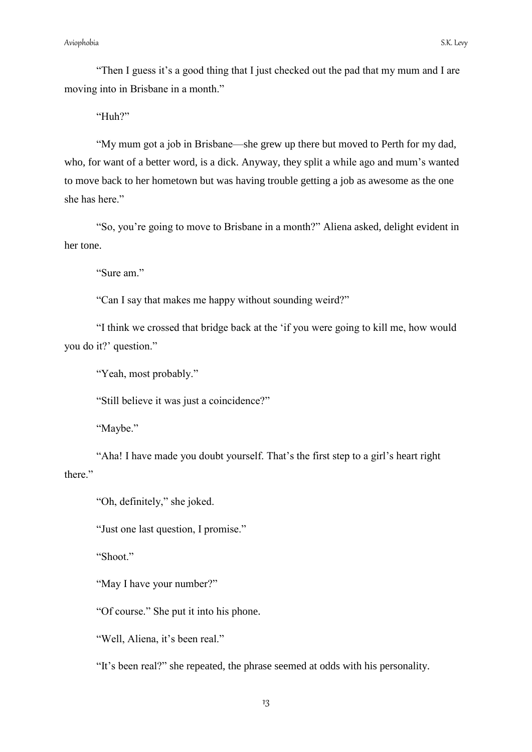"Then I guess it's a good thing that I just checked out the pad that my mum and I are moving into in Brisbane in a month."

"Huh?"

"My mum got a job in Brisbane—she grew up there but moved to Perth for my dad, who, for want of a better word, is a dick. Anyway, they split a while ago and mum's wanted to move back to her hometown but was having trouble getting a job as awesome as the one she has here."

"So, you"re going to move to Brisbane in a month?" Aliena asked, delight evident in her tone.

"Sure am."

"Can I say that makes me happy without sounding weird?"

"I think we crossed that bridge back at the "if you were going to kill me, how would you do it?' question."

"Yeah, most probably."

"Still believe it was just a coincidence?"

"Maybe."

"Aha! I have made you doubt yourself. That"s the first step to a girl"s heart right there."

"Oh, definitely," she joked.

"Just one last question, I promise."

"Shoot"

"May I have your number?"

"Of course." She put it into his phone.

"Well, Aliena, it's been real."

"It"s been real?" she repeated, the phrase seemed at odds with his personality.